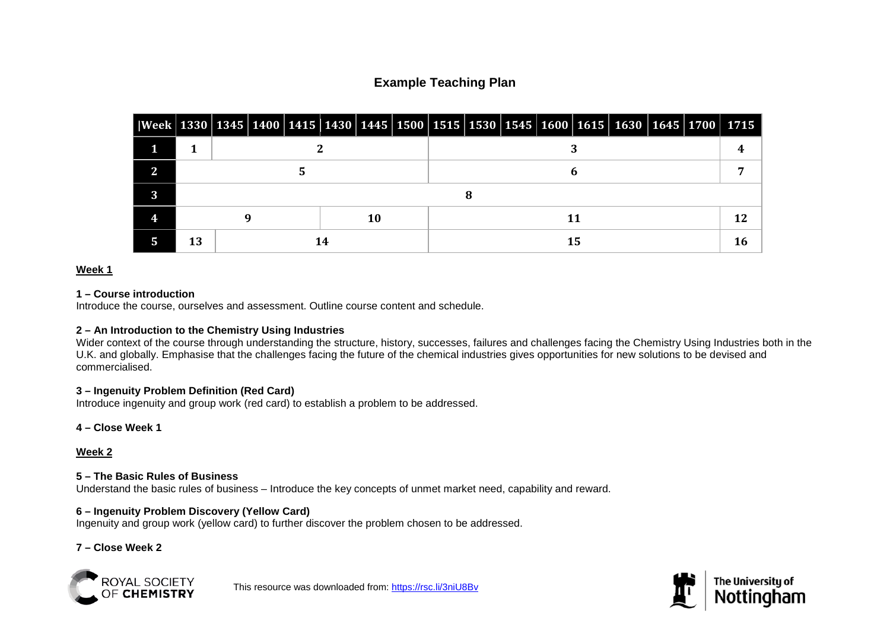# **Example Teaching Plan**

| Week   1330   1345   1400   1415   1430   1445   1500   1515   1530   1545   1600   1615   1630   1645   1700   1715 |          |  |  |  |    |  |  |    |  |  |  |  |  |  |  |  |
|----------------------------------------------------------------------------------------------------------------------|----------|--|--|--|----|--|--|----|--|--|--|--|--|--|--|--|
|                                                                                                                      |          |  |  |  |    |  |  |    |  |  |  |  |  |  |  |  |
| C                                                                                                                    |          |  |  |  |    |  |  |    |  |  |  |  |  |  |  |  |
| $\mathbf 2$                                                                                                          |          |  |  |  |    |  |  |    |  |  |  |  |  |  |  |  |
|                                                                                                                      |          |  |  |  | 10 |  |  |    |  |  |  |  |  |  |  |  |
|                                                                                                                      | 13<br>14 |  |  |  |    |  |  | 15 |  |  |  |  |  |  |  |  |

## **Week 1**

#### **1 – Course introduction**

Introduce the course, ourselves and assessment. Outline course content and schedule.

## **2 – An Introduction to the Chemistry Using Industries**

Wider context of the course through understanding the structure, history, successes, failures and challenges facing the Chemistry Using Industries both in the U.K. and globally. Emphasise that the challenges facing the future of the chemical industries gives opportunities for new solutions to be devised and commercialised.

## **3 – Ingenuity Problem Definition (Red Card)**

Introduce ingenuity and group work (red card) to establish a problem to be addressed.

## **4 – Close Week 1**

## **Week 2**

## **5 – The Basic Rules of Business**

Understand the basic rules of business – Introduce the key concepts of unmet market need, capability and reward.

## **6 – Ingenuity Problem Discovery (Yellow Card)**

Ingenuity and group work (yellow card) to further discover the problem chosen to be addressed.

# **7 – Close Week 2**